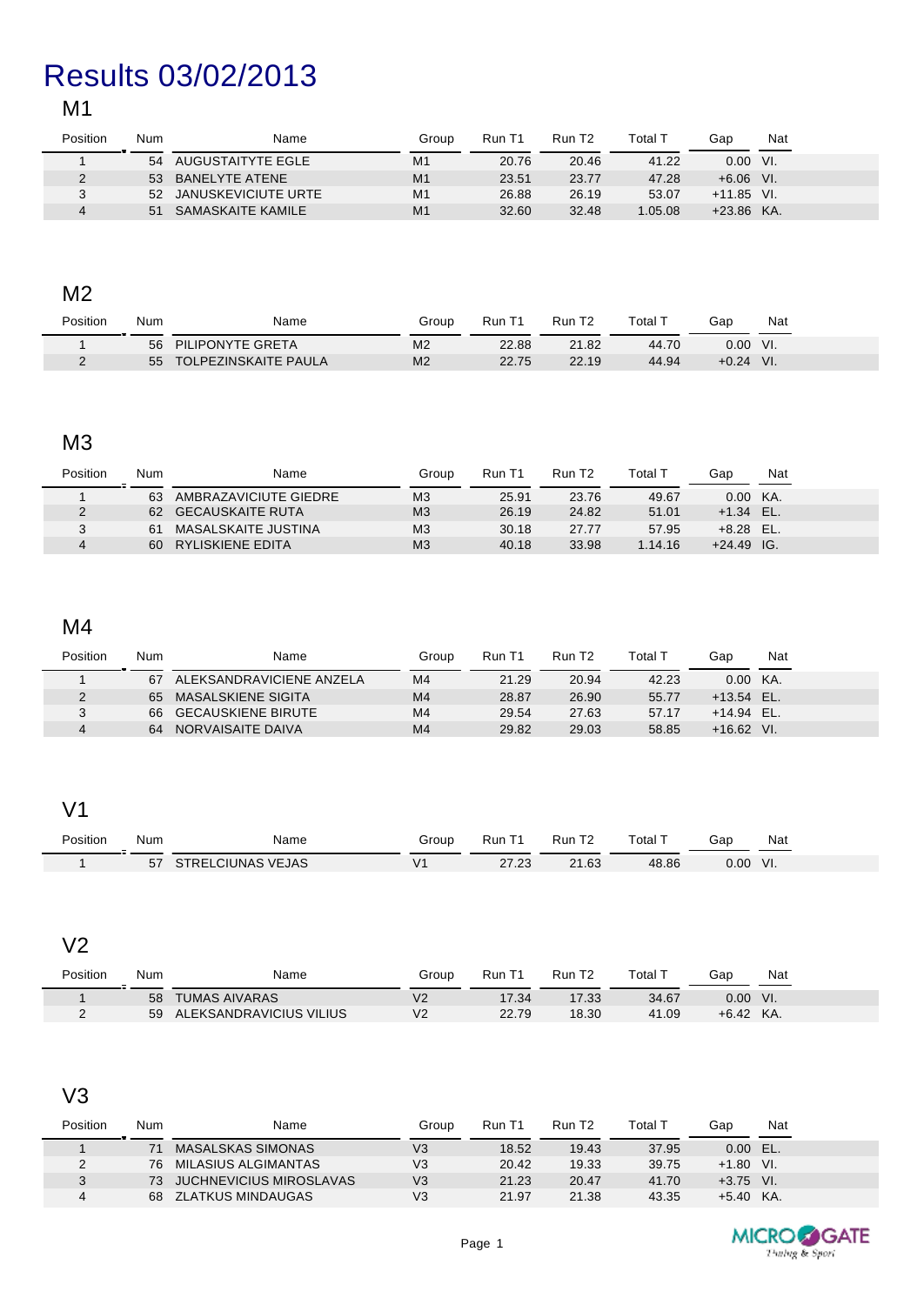# Results 03/02/2013

## M1

| Position | Num | Name                   | Group          | Run T1 | Run T <sub>2</sub> | Total 1 | Gap               | Nat |
|----------|-----|------------------------|----------------|--------|--------------------|---------|-------------------|-----|
|          | 54  | AUGUSTAITYTE EGLE      | M <sub>1</sub> | 20.76  | 20.46              | 41.22   | 0.00 <sub>1</sub> | VI. |
|          | 53  | BANELYTE ATENE         | M <sub>1</sub> | 23.51  | 23.77              | 47.28   | $+6.06$ VI.       |     |
|          |     | 52 JANUSKEVICIUTE URTE | M <sub>1</sub> | 26.88  | 26.19              | 53.07   | $+11.85$ VI.      |     |
|          | 51  | SAMASKAITE KAMILE      | M <sub>1</sub> | 32.60  | 32.48              | 1.05.08 | $+23.86$ KA.      |     |

#### M2

| Position<br>Num | Name                        | Group          | Run T1 | Run T <sub>2</sub> | $\tau$ otal $\overline{\phantom{a}}$ | Gap     | Nat |
|-----------------|-----------------------------|----------------|--------|--------------------|--------------------------------------|---------|-----|
| 56              | PILIPONYTE GRETA            | M <sub>2</sub> | 22.88  | 21.82              | 44.70                                | 0.00    | VI. |
| 55              | <b>TOLPEZINSKAITE PAULA</b> | M <sub>2</sub> | 22.75  | 22.19              | 44.94                                | $+0.24$ | VI. |

# M3

| Position | Num | Name                  | Group          | Run T1 | Run T <sub>2</sub> | Total 1 | Gap          | Nat |
|----------|-----|-----------------------|----------------|--------|--------------------|---------|--------------|-----|
|          | 63  | AMBRAZAVICIUTE GIEDRE | M <sub>3</sub> | 25.91  | 23.76              | 49.67   | 0.00         | KA. |
|          | 62  | GECAUSKAITE RUTA      | M <sub>3</sub> | 26.19  | 24.82              | 51.01   | $+1.34$ EL.  |     |
|          | 61  | MASALSKAITE JUSTINA   | M <sub>3</sub> | 30.18  | 27.77              | 57.95   | $+8.28$ EL.  |     |
|          | 60  | RYLISKIENE EDITA      | M <sub>3</sub> | 40.18  | 33.98              | 1.14.16 | $+24.49$ IG. |     |

## M4

| Position | Num | Name                     | Group          | Run T1 | Run T <sub>2</sub> | Total 1 | Gap          | Nat |
|----------|-----|--------------------------|----------------|--------|--------------------|---------|--------------|-----|
|          | 67  | ALEKSANDRAVICIENE ANZELA | M <sub>4</sub> | 21.29  | 20.94              | 42.23   | 0.00 KA.     |     |
|          | 65  | MASALSKIENE SIGITA       | M <sub>4</sub> | 28.87  | 26.90              | 55.77   | $+13.54$ EL. |     |
|          |     | 66 GECAUSKIENE BIRUTE    | M <sub>4</sub> | 29.54  | 27.63              | 57.17   | $+14.94$ EL. |     |
|          | 64  | NORVAISAITE DAIVA        | M <sub>4</sub> | 29.82  | 29.03              | 58.85   | $+16.62$ VI. |     |

#### V1

| Position | Num | Name              | Group | Run <sup>-</sup> | Run T <sub>2</sub> | Total. | Gap  | Nat |  |
|----------|-----|-------------------|-------|------------------|--------------------|--------|------|-----|--|
|          | 57  | STRELCIUNAS VEJAS |       | 27.23            | 21.63              | 48.86  | 0.00 | VI. |  |

## V2

| Position | Num | Name                    | Group | Run T | Run T <sub>2</sub> | Total T | Gap     | Nat |
|----------|-----|-------------------------|-------|-------|--------------------|---------|---------|-----|
|          | 58  | <b>TUMAS AIVARAS</b>    | V2    | 17.34 | 17.33              | 34.67   | 0.00    | VI. |
|          | 59  | ALEKSANDRAVICIUS VILIUS | V2    | 22.79 | 18.30              | 41.09   | $+6.42$ | KA. |

# V3

| Position | Num | Name                    | Group | Run T1 | Run T <sub>2</sub> | Total 1 | Gap         | Nat |  |
|----------|-----|-------------------------|-------|--------|--------------------|---------|-------------|-----|--|
|          |     | MASALSKAS SIMONAS       | V3    | 18.52  | 19.43              | 37.95   | $0.00$ EL.  |     |  |
|          | 76. | MILASIUS ALGIMANTAS     | V3    | 20.42  | 19.33              | 39.75   | $+1.80$ VI. |     |  |
| J        | 73  | JUCHNEVICIUS MIROSLAVAS | V3    | 21.23  | 20.47              | 41.70   | $+3.75$ VI. |     |  |
| 4        | 68  | ZLATKUS MINDAUGAS       | VЗ    | 21.97  | 21.38              | 43.35   | $+5.40$ KA. |     |  |